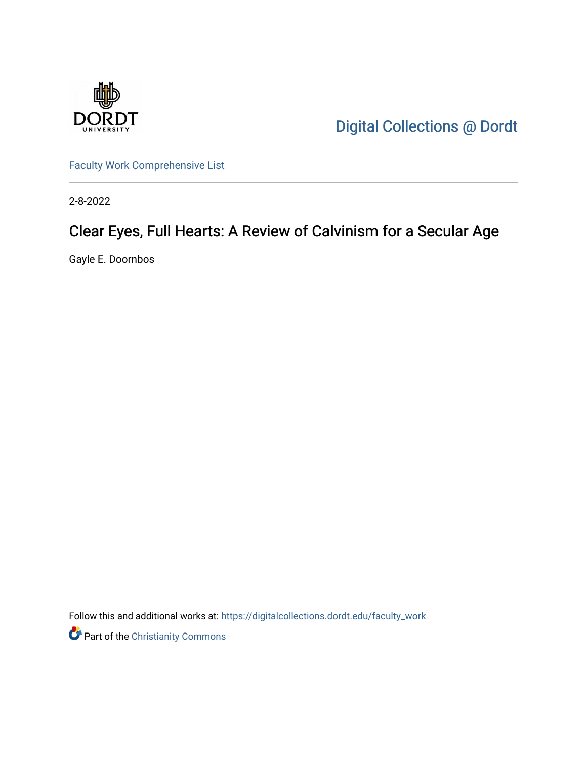

[Digital Collections @ Dordt](https://digitalcollections.dordt.edu/) 

[Faculty Work Comprehensive List](https://digitalcollections.dordt.edu/faculty_work)

2-8-2022

## Clear Eyes, Full Hearts: A Review of Calvinism for a Secular Age

Gayle E. Doornbos

Follow this and additional works at: [https://digitalcollections.dordt.edu/faculty\\_work](https://digitalcollections.dordt.edu/faculty_work?utm_source=digitalcollections.dordt.edu%2Ffaculty_work%2F1365&utm_medium=PDF&utm_campaign=PDFCoverPages) 

Part of the [Christianity Commons](http://network.bepress.com/hgg/discipline/1181?utm_source=digitalcollections.dordt.edu%2Ffaculty_work%2F1365&utm_medium=PDF&utm_campaign=PDFCoverPages)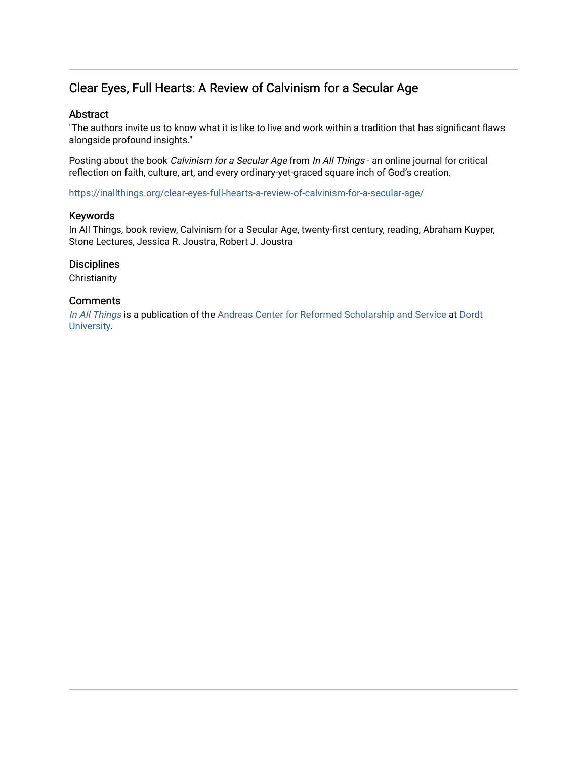## Clear Eyes, Full Hearts: A Review of Calvinism for a Secular Age

#### Abstract

"The authors invite us to know what it is like to live and work within a tradition that has significant flaws alongside profound insights."

Posting about the book Calvinism for a Secular Age from In All Things - an online journal for critical reflection on faith, culture, art, and every ordinary-yet-graced square inch of God's creation.

<https://inallthings.org/clear-eyes-full-hearts-a-review-of-calvinism-for-a-secular-age/>

#### Keywords

In All Things, book review, Calvinism for a Secular Age, twenty-first century, reading, Abraham Kuyper, Stone Lectures, Jessica R. Joustra, Robert J. Joustra

#### **Disciplines**

**Christianity** 

#### **Comments**

[In All Things](http://inallthings.org/) is a publication of the [Andreas Center for Reformed Scholarship and Service](http://www.dordt.edu/services_support/andreas_center/) at Dordt [University](http://www.dordt.edu/).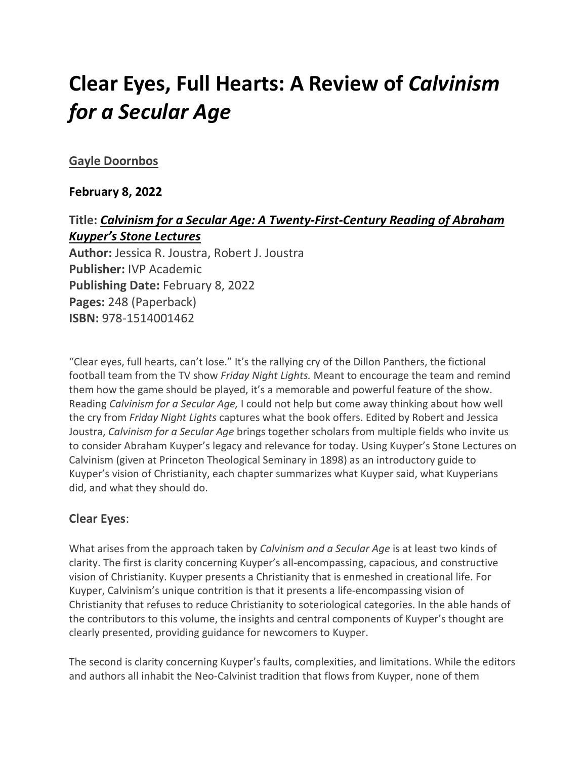# **Clear Eyes, Full Hearts: A Review of** *Calvinism for a Secular Age*

#### **[Gayle Doornbos](https://inallthings.org/author/gayle-doornbos/)**

#### **February 8, 2022**

## **Title:** *Calvinism for a Secular Age: A Twenty-First-Century Reading of Abraham Kuyper's Stone Lectures* **Author:** Jessica R. Joustra, Robert J. Joustra **Publisher:** IVP Academic **Publishing Date:** February 8, 2022 **Pages:** 248 (Paperback) **ISBN:** 978-1514001462

"Clear eyes, full hearts, can't lose." It's the rallying cry of the Dillon Panthers, the fictional football team from the TV show *Friday Night Lights.* Meant to encourage the team and remind them how the game should be played, it's a memorable and powerful feature of the show. Reading *Calvinism for a Secular Age,* I could not help but come away thinking about how well the cry from *Friday Night Lights* captures what the book offers. Edited by Robert and Jessica Joustra, *Calvinism for a Secular Age* brings together scholars from multiple fields who invite us to consider Abraham Kuyper's legacy and relevance for today. Using Kuyper's Stone Lectures on Calvinism (given at Princeton Theological Seminary in 1898) as an introductory guide to Kuyper's vision of Christianity, each chapter summarizes what Kuyper said, what Kuyperians did, and what they should do.

#### **Clear Eyes**:

What arises from the approach taken by *Calvinism and a Secular Age* is at least two kinds of clarity. The first is clarity concerning Kuyper's all-encompassing, capacious, and constructive vision of Christianity. Kuyper presents a Christianity that is enmeshed in creational life. For Kuyper, Calvinism's unique contrition is that it presents a life-encompassing vision of Christianity that refuses to reduce Christianity to soteriological categories. In the able hands of the contributors to this volume, the insights and central components of Kuyper's thought are clearly presented, providing guidance for newcomers to Kuyper.

The second is clarity concerning Kuyper's faults, complexities, and limitations. While the editors and authors all inhabit the Neo-Calvinist tradition that flows from Kuyper, none of them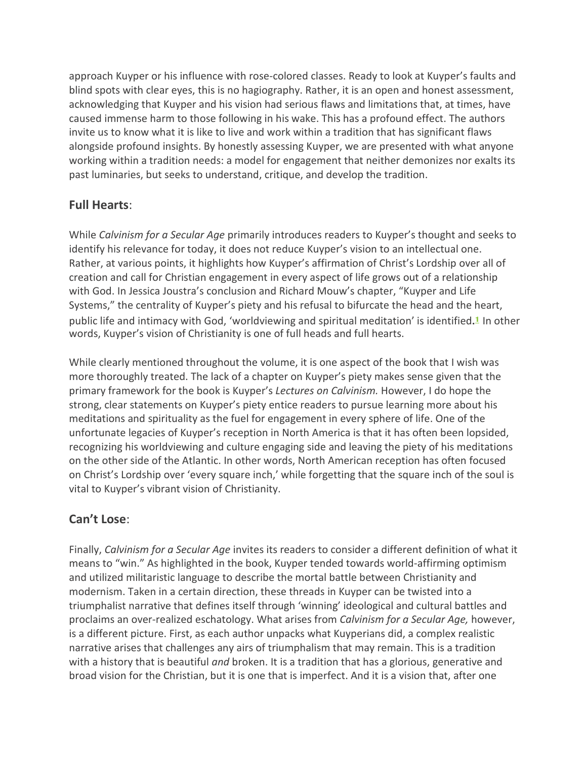approach Kuyper or his influence with rose-colored classes. Ready to look at Kuyper's faults and blind spots with clear eyes, this is no hagiography. Rather, it is an open and honest assessment, acknowledging that Kuyper and his vision had serious flaws and limitations that, at times, have caused immense harm to those following in his wake. This has a profound effect. The authors invite us to know what it is like to live and work within a tradition that has significant flaws alongside profound insights. By honestly assessing Kuyper, we are presented with what anyone working within a tradition needs: a model for engagement that neither demonizes nor exalts its past luminaries, but seeks to understand, critique, and develop the tradition.

### **Full Hearts**:

While *Calvinism for a Secular Age* primarily introduces readers to Kuyper's thought and seeks to identify his relevance for today, it does not reduce Kuyper's vision to an intellectual one. Rather, at various points, it highlights how Kuyper's affirmation of Christ's Lordship over all of creation and call for Christian engagement in every aspect of life grows out of a relationship with God. In Jessica Joustra's conclusion and Richard Mouw's chapter, "Kuyper and Life Systems," the centrality of Kuyper's piety and his refusal to bifurcate the head and the heart, public life and intimacy with God, 'worldviewing and spiritual meditation' is identified**. <sup>1</sup>** In other words, Kuyper's vision of Christianity is one of full heads and full hearts.

While clearly mentioned throughout the volume, it is one aspect of the book that I wish was more thoroughly treated. The lack of a chapter on Kuyper's piety makes sense given that the primary framework for the book is Kuyper's *Lectures on Calvinism.* However, I do hope the strong, clear statements on Kuyper's piety entice readers to pursue learning more about his meditations and spirituality as the fuel for engagement in every sphere of life. One of the unfortunate legacies of Kuyper's reception in North America is that it has often been lopsided, recognizing his worldviewing and culture engaging side and leaving the piety of his meditations on the other side of the Atlantic. In other words, North American reception has often focused on Christ's Lordship over 'every square inch,' while forgetting that the square inch of the soul is vital to Kuyper's vibrant vision of Christianity.

## **Can't Lose**:

Finally, *Calvinism for a Secular Age* invites its readers to consider a different definition of what it means to "win." As highlighted in the book, Kuyper tended towards world-affirming optimism and utilized militaristic language to describe the mortal battle between Christianity and modernism. Taken in a certain direction, these threads in Kuyper can be twisted into a triumphalist narrative that defines itself through 'winning' ideological and cultural battles and proclaims an over-realized eschatology. What arises from *Calvinism for a Secular Age,* however, is a different picture. First, as each author unpacks what Kuyperians did, a complex realistic narrative arises that challenges any airs of triumphalism that may remain. This is a tradition with a history that is beautiful *and* broken. It is a tradition that has a glorious, generative and broad vision for the Christian, but it is one that is imperfect. And it is a vision that, after one